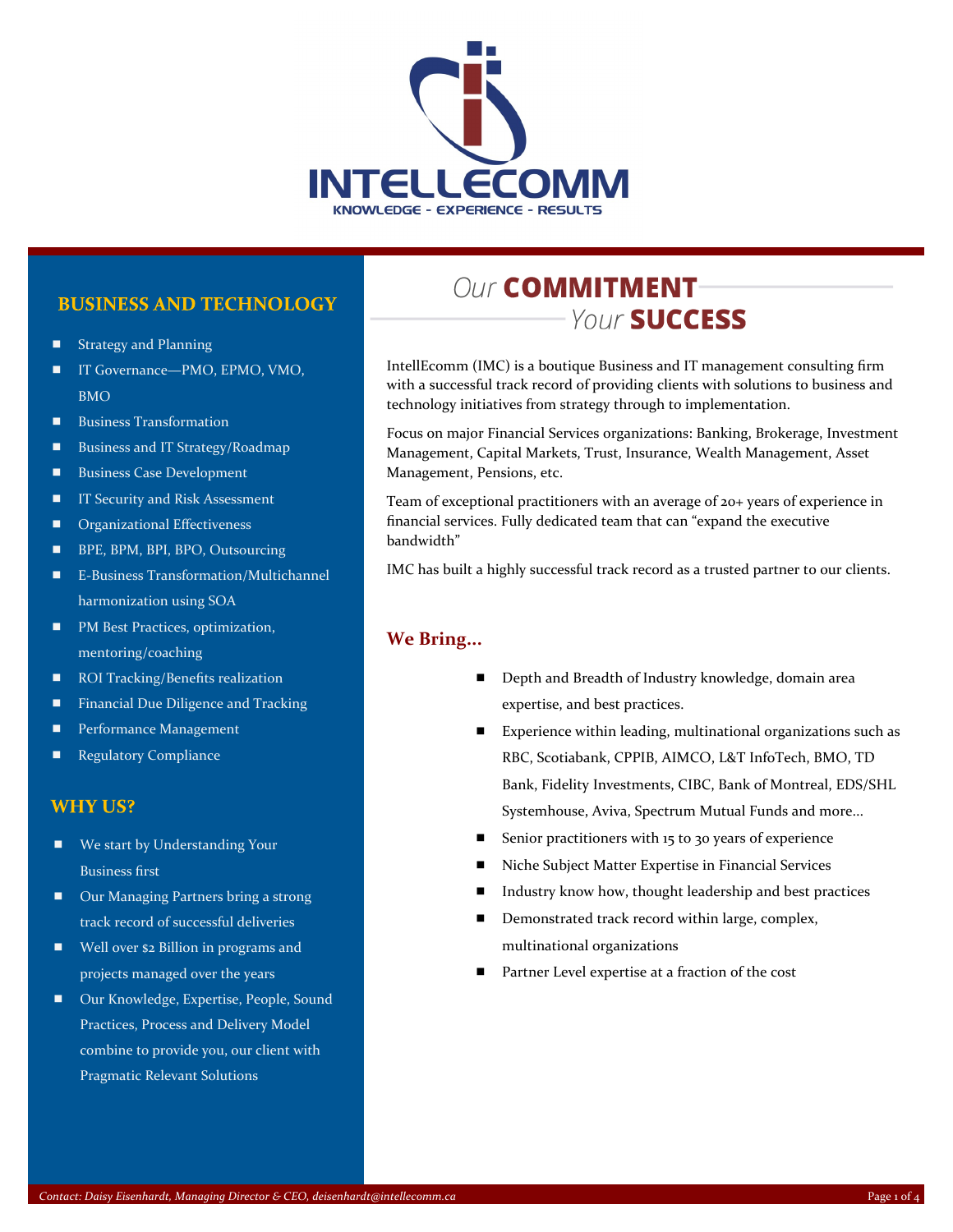

#### **BUSINESS AND TECHNOLOGY**

- Strategy and Planning
- IT Governance—PMO, EPMO, VMO, BMO
- **Business Transformation**
- **Business and IT Strategy/Roadmap**
- Business Case Development
- IT Security and Risk Assessment
- **Demonmal Effectiveness**
- **BPE, BPM, BPI, BPO, Outsourcing**
- E-Business Transformation/Multichannel harmonization using SOA
- **PM Best Practices, optimization,** mentoring/coaching
- ROI Tracking/Benefits realization
- **Financial Due Diligence and Tracking**
- **Performance Management**
- **Regulatory Compliance**

#### **WHY US?**

- We start by Understanding Your Business first
- Our Managing Partners bring a strong track record of successful deliveries
- Well over \$2 Billion in programs and projects managed over the years
- Our Knowledge, Expertise, People, Sound Practices, Process and Delivery Model combine to provide you, our client with Pragmatic Relevant Solutions

## **Our COMMITMENT-**Your **SUCCESS**

IntellEcomm (IMC) is a boutique Business and IT management consulting firm with a successful track record of providing clients with solutions to business and technology initiatives from strategy through to implementation.

Focus on major Financial Services organizations: Banking, Brokerage, Investment Management, Capital Markets, Trust, Insurance, Wealth Management, Asset Management, Pensions, etc.

Team of exceptional practitioners with an average of 20+ years of experience in financial services. Fully dedicated team that can "expand the executive bandwidth"

IMC has built a highly successful track record as a trusted partner to our clients.

#### **We Bring...**

- Depth and Breadth of Industry knowledge, domain area expertise, and best practices.
- Experience within leading, multinational organizations such as RBC, Scotiabank, CPPIB, AIMCO, L&T InfoTech, BMO, TD Bank, Fidelity Investments, CIBC, Bank of Montreal, EDS/SHL Systemhouse, Aviva, Spectrum Mutual Funds and more...
- Senior practitioners with 15 to 30 years of experience
- Niche Subject Matter Expertise in Financial Services
- Industry know how, thought leadership and best practices
- Demonstrated track record within large, complex, multinational organizations
- Partner Level expertise at a fraction of the cost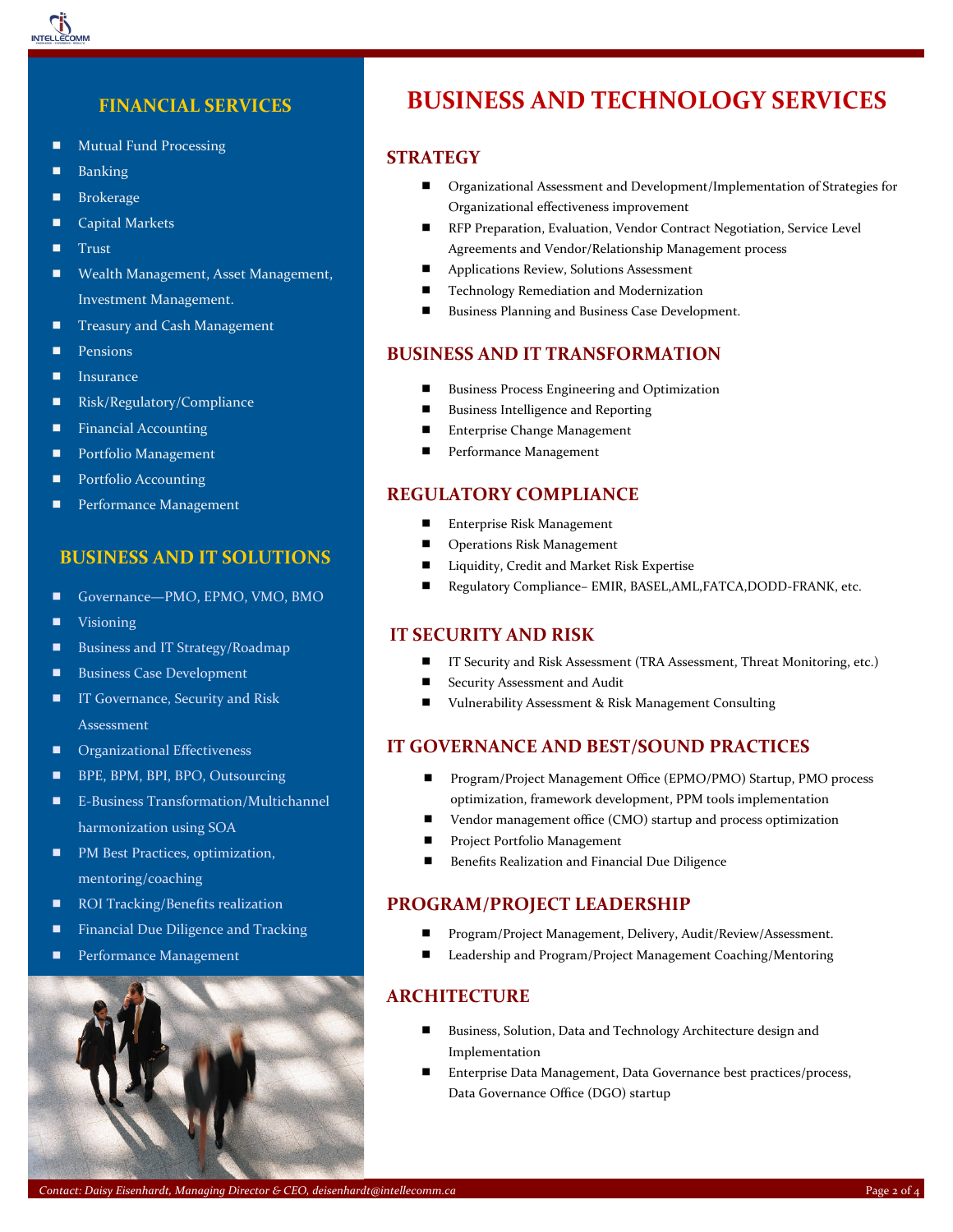

#### **FINANCIAL SERVICES**

- **Mutual Fund Processing**
- Banking
- **Brokerage**
- Capital Markets
- $\blacksquare$  Trust
- Wealth Management, Asset Management, Investment Management.
- **Treasury and Cash Management**
- **Pensions**
- **Insurance**
- Risk/Regulatory/Compliance
- **Financial Accounting**
- **Portfolio Management**
- Portfolio Accounting
- Performance Management

#### **BUSINESS AND IT SOLUTIONS**

- Governance—PMO, EPMO, VMO, BMO
- **Visioning**
- Business and IT Strategy/Roadmap
- **Business Case Development**
- **IT Governance, Security and Risk** Assessment
- **C** Organizational Effectiveness
- **BPE, BPM, BPI, BPO, Outsourcing**
- E-Business Transformation/Multichannel harmonization using SOA
- PM Best Practices, optimization, mentoring/coaching
- ROI Tracking/Benefits realization
- **Financial Due Diligence and Tracking**
- **Performance Management**



### BUSINESS AND TECHNOLOGY SERVICES **BUSINESS AND TECHNOLOGY SERVICES**

#### **STRATEGY**

- Organizational Assessment and Development/Implementation of Strategies for Organizational effectiveness improvement
- **RFP Preparation, Evaluation, Vendor Contract Negotiation, Service Level** Agreements and Vendor/Relationship Management process
- **Applications Review, Solutions Assessment**
- **Technology Remediation and Modernization**
- **Business Planning and Business Case Development.**

#### **BUSINESS AND IT TRANSFORMATION**

- Business Process Engineering and Optimization
- **Business Intelligence and Reporting**
- Enterprise Change Management
- **Performance Management**

#### **REGULATORY COMPLIANCE**

- Enterprise Risk Management
- **Deparations Risk Management**
- Liquidity, Credit and Market Risk Expertise
- Regulatory Compliance– EMIR, BASEL, AML, FATCA, DODD-FRANK, etc.

#### **IT SECURITY AND RISK**

- IT Security and Risk Assessment (TRA Assessment, Threat Monitoring, etc.)
- Security Assessment and Audit
- Vulnerability Assessment & Risk Management Consulting

#### **IT GOVERNANCE AND BEST/SOUND PRACTICES**

- Program/Project Management Office (EPMO/PMO) Startup, PMO process optimization, framework development, PPM tools implementation
- Vendor management office (CMO) startup and process optimization
- **Project Portfolio Management**
- **Benefits Realization and Financial Due Diligence**

#### **PROGRAM/PROJECT LEADERSHIP**

- Program/Project Management, Delivery, Audit/Review/Assessment.
- Leadership and Program/Project Management Coaching/Mentoring

#### **ARCHITECTURE**

- Business, Solution, Data and Technology Architecture design and Implementation
- Enterprise Data Management, Data Governance best practices/process, Data Governance Office (DGO) startup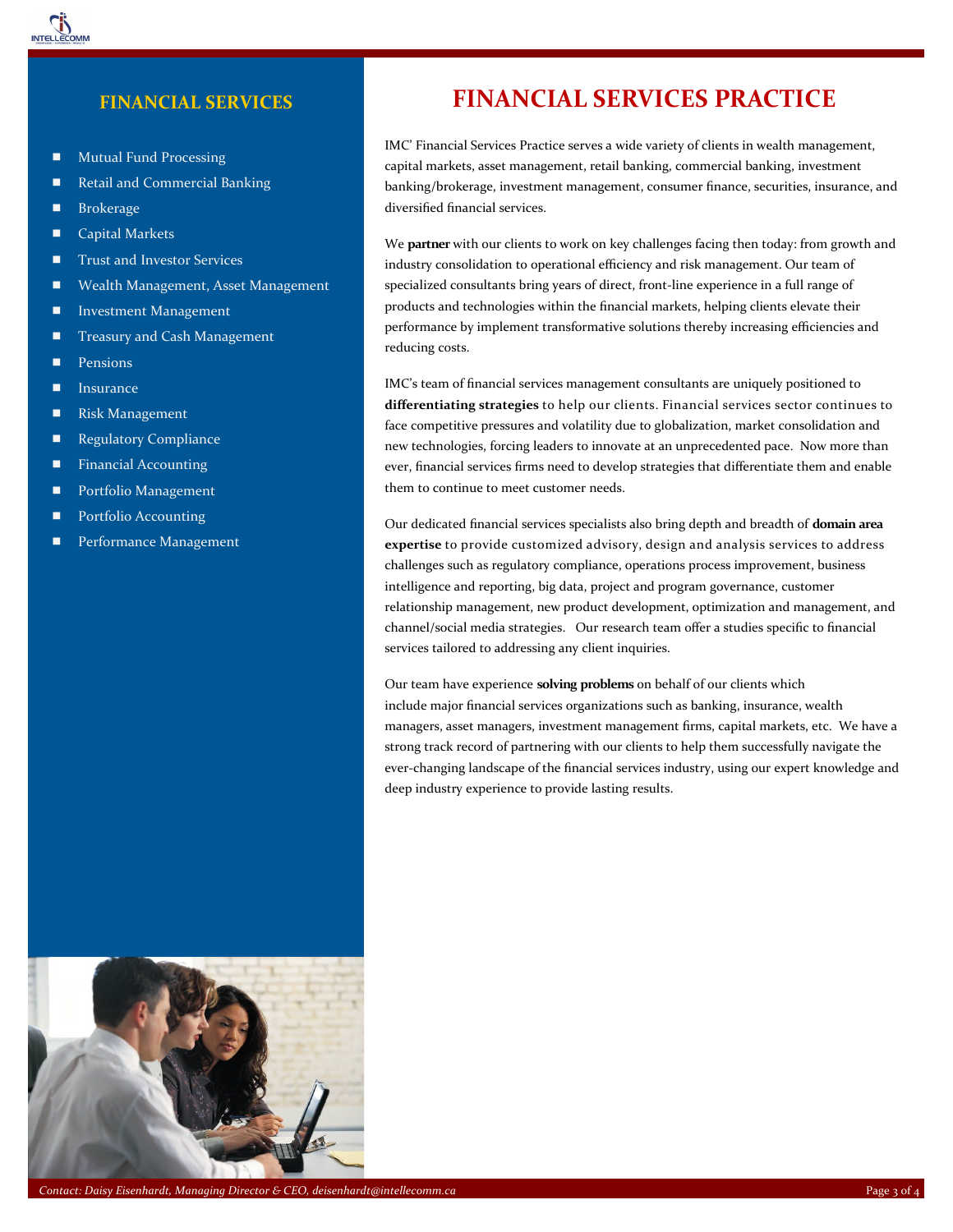

#### **FINANCIAL SERVICES**

- **Mutual Fund Processing**
- Retail and Commercial Banking
- **Brokerage**
- Capital Markets
- **Trust and Investor Services**
- Wealth Management, Asset Management
- **Investment Management**
- **Treasury and Cash Management**
- **Pensions**
- **Insurance**
- Risk Management
- **Regulatory Compliance**
- **Financial Accounting**
- **Portfolio Management**
- **Portfolio Accounting**
- **Performance Management**

### **FINANCIAL SERVICES PRACTICE**

IMC' Financial Services Practice serves a wide variety of clients in wealth management, capital markets, asset management, retail banking, commercial banking, investment banking/brokerage, investment management, consumer finance, securities, insurance, and diversified financial services.

We **partner** with our clients to work on key challenges facing then today: from growth and industry consolidation to operational efficiency and risk management. Our team of specialized consultants bring years of direct, front-line experience in a full range of products and technologies within the financial markets, helping clients elevate their performance by implement transformative solutions thereby increasing efficiencies and reducing costs.

IMC's team of financial services management consultants are uniquely positioned to **differentiating strategies** to help our clients. Financial services sector continues to face competitive pressures and volatility due to globalization, market consolidation and new technologies, forcing leaders to innovate at an unprecedented pace. Now more than ever, financial services firms need to develop strategies that differentiate them and enable them to continue to meet customer needs.

Our dedicated financial services specialists also bring depth and breadth of **domain area expertise** to provide customized advisory, design and analysis services to address challenges such as regulatory compliance, operations process improvement, business intelligence and reporting, big data, project and program governance, customer relationship management, new product development, optimization and management, and channel/social media strategies. Our research team offer a studies specific to financial services tailored to addressing any client inquiries.

Our team have experience **solving problems** on behalf of our clients which include major financial services organizations such as banking, insurance, wealth managers, asset managers, investment management firms, capital markets, etc. We have a strong track record of partnering with our clients to help them successfully navigate the ever-changing landscape of the financial services industry, using our expert knowledge and deep industry experience to provide lasting results.